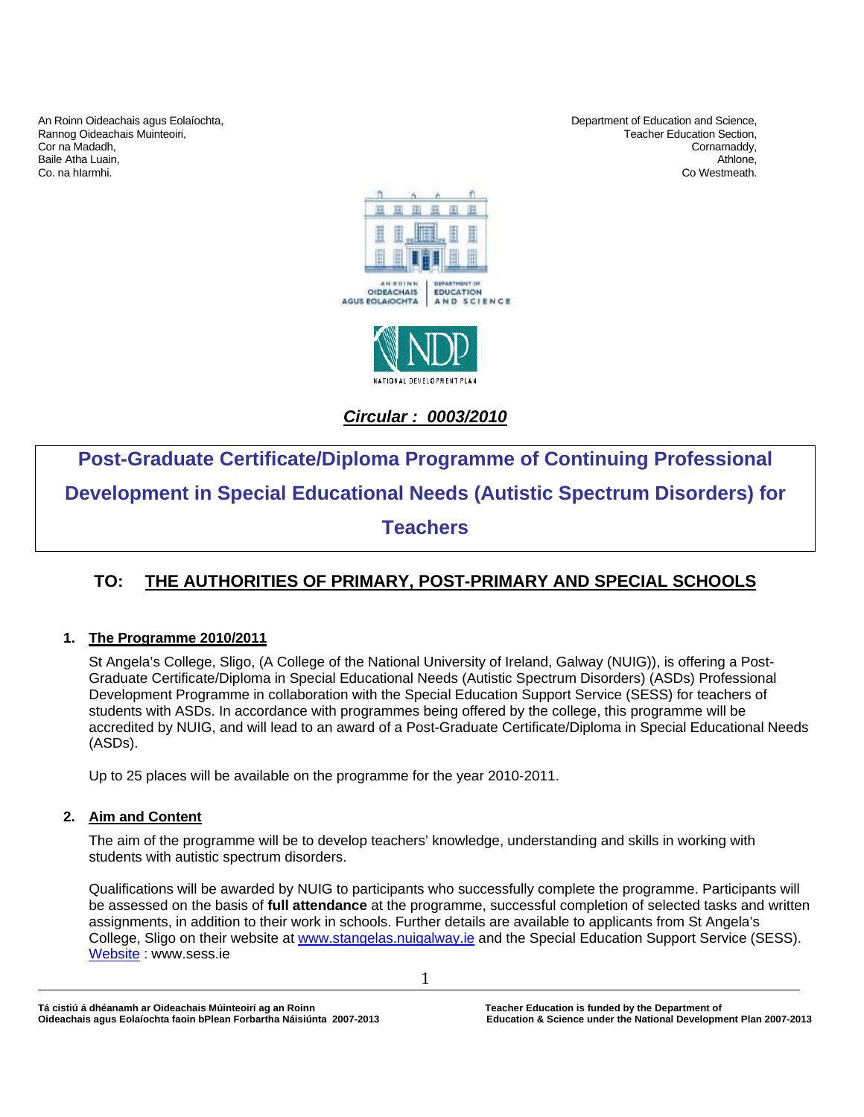Rannog Oideachais Muinteoiri, Co. na hIarmhi. Co Westmeath.

An Roinn Oideachais agus Eolaíochta,<br>
Rannog Oideachais Muinteoiri, Christian and Science, Department of Education and Science,<br>
Department of Education Section, Cor na Madadh, Cornamaddy, Baile Atha Luain, Athlone, Athlone, Athlone, Athlone, Athlone, Athlone, Athlone, Athlone, Athlone, Athlone, Athlone, Athlone, Athlone, Athlone, Athlone, Athlone, Athlone, Athlone, Athlone, Athlone, Athlone, Athlone, Athlon





*Circular : 0003/2010*

# **Post-Graduate Certificate/Diploma Programme of Continuing Professional Development in Special Educational Needs (Autistic Spectrum Disorders) for**

## **Teachers**

## **TO: THE AUTHORITIES OF PRIMARY, POST-PRIMARY AND SPECIAL SCHOOLS**

#### **1. The Programme 2010/2011**

St Angela's College, Sligo, (A College of the National University of Ireland, Galway (NUIG)), is offering a Post-Graduate Certificate/Diploma in Special Educational Needs (Autistic Spectrum Disorders) (ASDs) Professional Development Programme in collaboration with the Special Education Support Service (SESS) for teachers of students with ASDs. In accordance with programmes being offered by the college, this programme will be accredited by NUIG, and will lead to an award of a Post-Graduate Certificate/Diploma in Special Educational Needs (ASDs).

Up to 25 places will be available on the programme for the year 2010-2011.

#### **2. Aim and Content**

The aim of the programme will be to develop teachers' knowledge, understanding and skills in working with students with autistic spectrum disorders.

Qualifications will be awarded by NUIG to participants who successfully complete the programme. Participants will be assessed on the basis of **full attendance** at the programme, successful completion of selected tasks and written assignments, in addition to their work in schools. Further details are available to applicants from St Angela's College, Sligo on their website at [www.stangelas.nuigalway.ie](http://www.stangelas.nuigalway.ie/) and the Special Education Support Service (SESS). [Website](mailto:Website) : www.sess.ie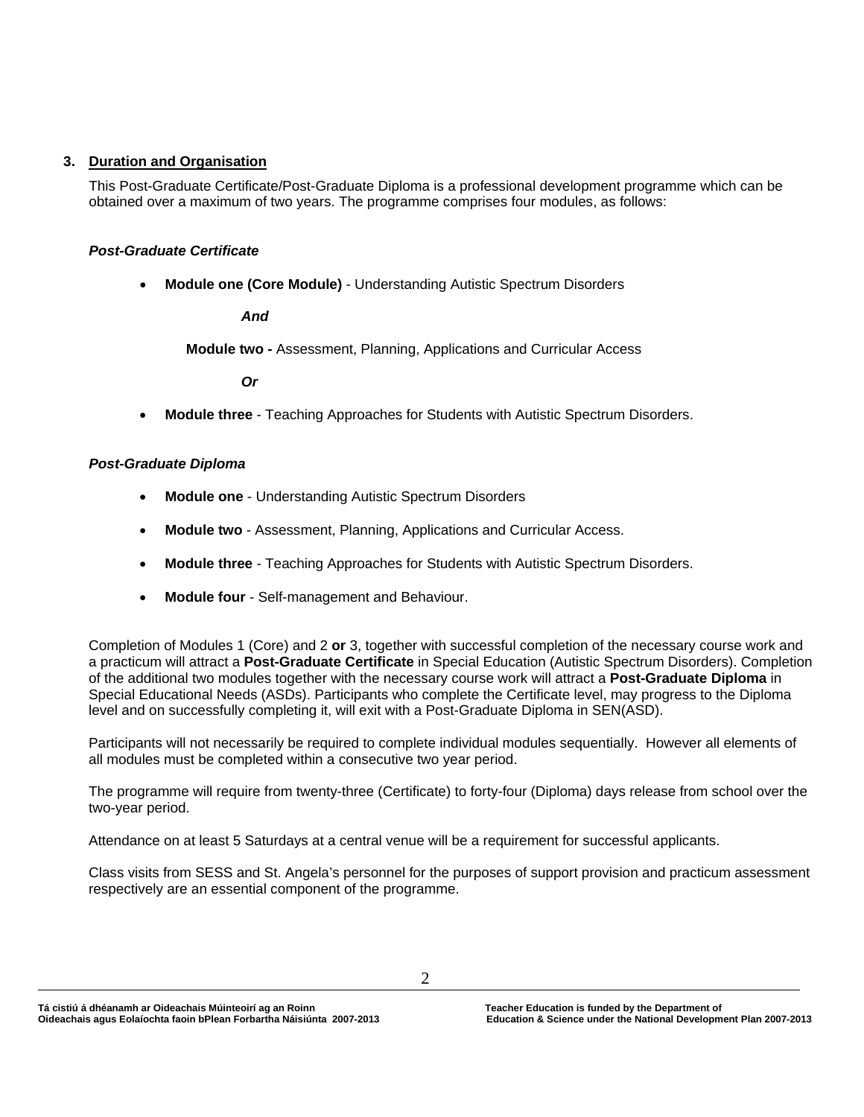#### **3. Duration and Organisation**

This Post-Graduate Certificate/Post-Graduate Diploma is a professional development programme which can be obtained over a maximum of two years. The programme comprises four modules, as follows:

#### *Post-Graduate Certificate*

• **Module one (Core Module)** - Understanding Autistic Spectrum Disorders

*And*

**Module two -** Assessment, Planning, Applications and Curricular Access

*Or*

• **Module three** - Teaching Approaches for Students with Autistic Spectrum Disorders.

#### *Post-Graduate Diploma*

- **Module one** Understanding Autistic Spectrum Disorders
- **Module two** Assessment, Planning, Applications and Curricular Access.
- **Module three** Teaching Approaches for Students with Autistic Spectrum Disorders.
- **Module four** Self-management and Behaviour.

Completion of Modules 1 (Core) and 2 **or** 3, together with successful completion of the necessary course work and a practicum will attract a **Post-Graduate Certificate** in Special Education (Autistic Spectrum Disorders). Completion of the additional two modules together with the necessary course work will attract a **Post-Graduate Diploma** in Special Educational Needs (ASDs). Participants who complete the Certificate level, may progress to the Diploma level and on successfully completing it, will exit with a Post-Graduate Diploma in SEN(ASD).

Participants will not necessarily be required to complete individual modules sequentially. However all elements of all modules must be completed within a consecutive two year period.

The programme will require from twenty-three (Certificate) to forty-four (Diploma) days release from school over the two-year period.

Attendance on at least 5 Saturdays at a central venue will be a requirement for successful applicants.

Class visits from SESS and St. Angela's personnel for the purposes of support provision and practicum assessment respectively are an essential component of the programme.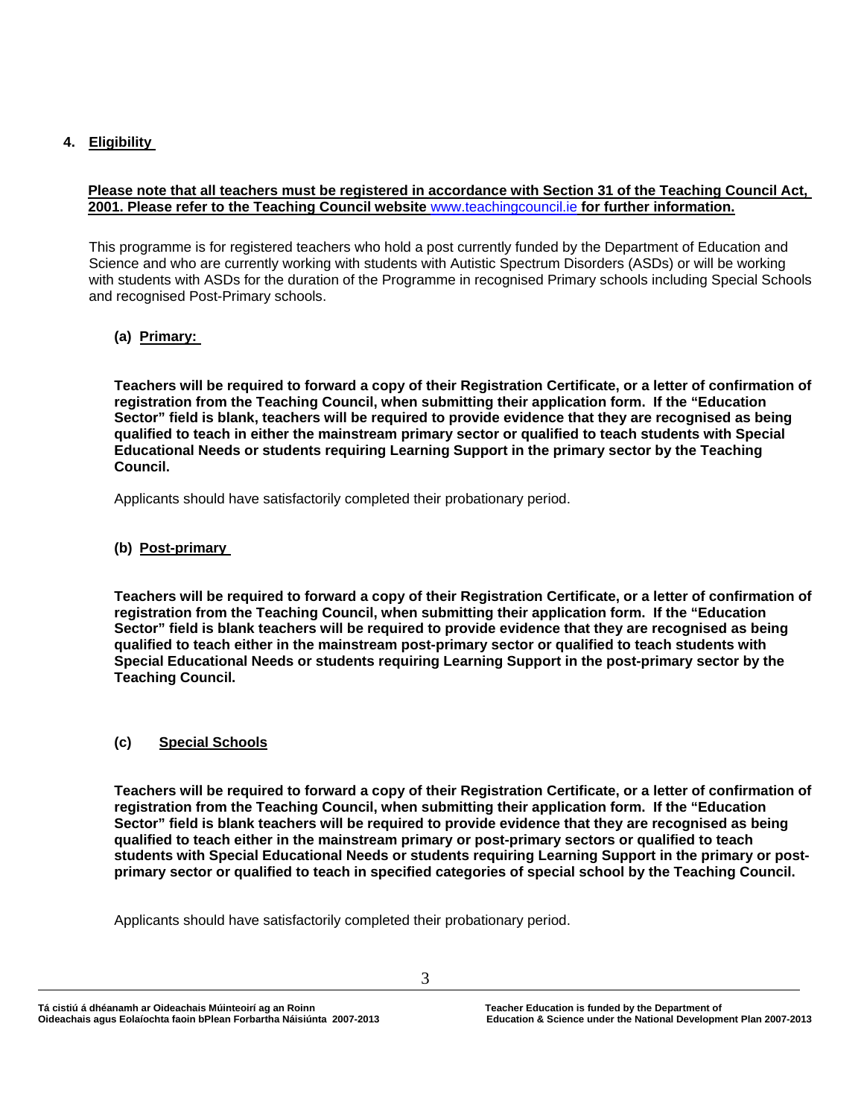#### **4. Eligibility**

#### **Please note that all teachers must be registered in accordance with Section 31 of the Teaching Council Act, 2001. Please refer to the Teaching Council website** [www.teachingcouncil.ie](http://www.teachingcouncil.ie/) **for further information.**

This programme is for registered teachers who hold a post currently funded by the Department of Education and Science and who are currently working with students with Autistic Spectrum Disorders (ASDs) or will be working with students with ASDs for the duration of the Programme in recognised Primary schools including Special Schools and recognised Post-Primary schools.

#### **(a) Primary:**

**Teachers will be required to forward a copy of their Registration Certificate, or a letter of confirmation of registration from the Teaching Council, when submitting their application form. If the "Education Sector" field is blank, teachers will be required to provide evidence that they are recognised as being qualified to teach in either the mainstream primary sector or qualified to teach students with Special Educational Needs or students requiring Learning Support in the primary sector by the Teaching Council.**

Applicants should have satisfactorily completed their probationary period.

#### **(b) Post-primary**

**Teachers will be required to forward a copy of their Registration Certificate, or a letter of confirmation of registration from the Teaching Council, when submitting their application form. If the "Education Sector" field is blank teachers will be required to provide evidence that they are recognised as being qualified to teach either in the mainstream post-primary sector or qualified to teach students with Special Educational Needs or students requiring Learning Support in the post-primary sector by the Teaching Council.**

#### **(c) Special Schools**

**Teachers will be required to forward a copy of their Registration Certificate, or a letter of confirmation of registration from the Teaching Council, when submitting their application form. If the "Education Sector" field is blank teachers will be required to provide evidence that they are recognised as being qualified to teach either in the mainstream primary or post-primary sectors or qualified to teach students with Special Educational Needs or students requiring Learning Support in the primary or postprimary sector or qualified to teach in specified categories of special school by the Teaching Council.**

Applicants should have satisfactorily completed their probationary period.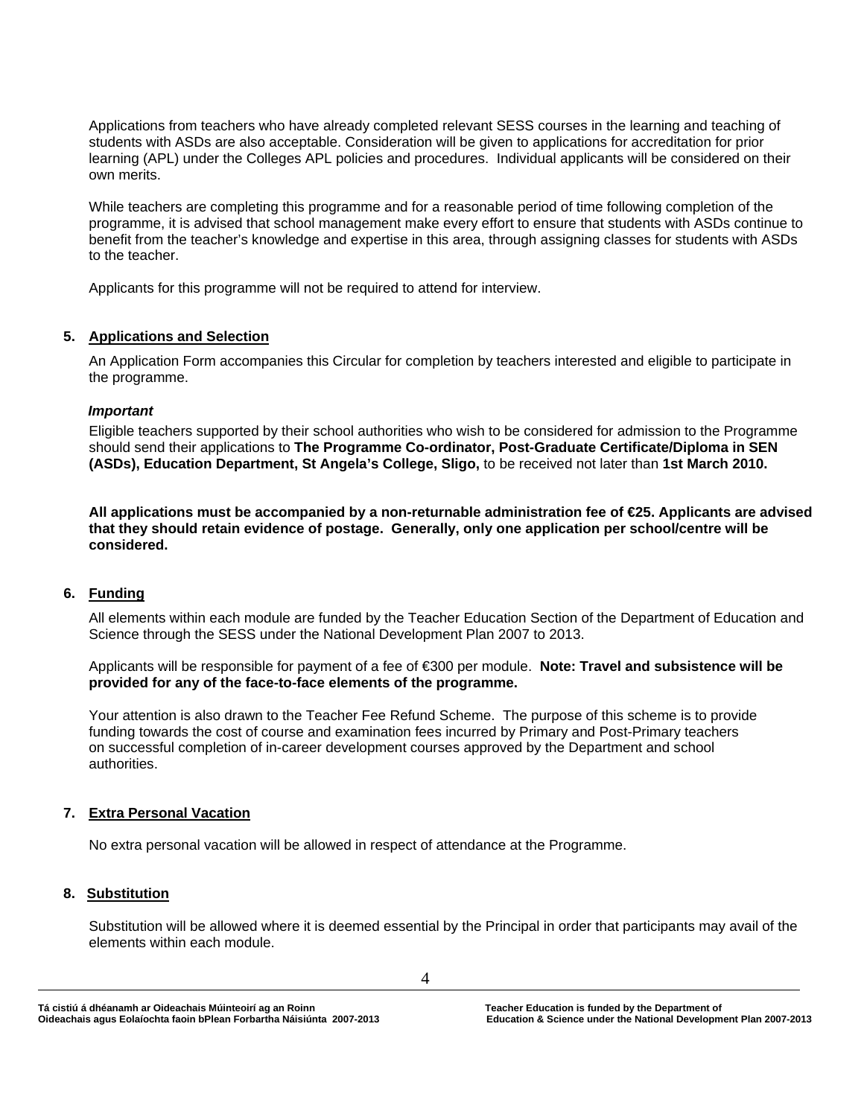Applications from teachers who have already completed relevant SESS courses in the learning and teaching of students with ASDs are also acceptable. Consideration will be given to applications for accreditation for prior learning (APL) under the Colleges APL policies and procedures. Individual applicants will be considered on their own merits.

While teachers are completing this programme and for a reasonable period of time following completion of the programme, it is advised that school management make every effort to ensure that students with ASDs continue to benefit from the teacher's knowledge and expertise in this area, through assigning classes for students with ASDs to the teacher.

Applicants for this programme will not be required to attend for interview.

#### **5. Applications and Selection**

An Application Form accompanies this Circular for completion by teachers interested and eligible to participate in the programme.

#### *Important*

Eligible teachers supported by their school authorities who wish to be considered for admission to the Programme should send their applications to **The Programme Co-ordinator, Post-Graduate Certificate/Diploma in SEN (ASDs), Education Department, St Angela's College, Sligo,** to be received not later than **1st March 2010.** 

**All applications must be accompanied by a non-returnable administration fee of €25. Applicants are advised that they should retain evidence of postage. Generally, only one application per school/centre will be considered.**

#### **6. Funding**

All elements within each module are funded by the Teacher Education Section of the Department of Education and Science through the SESS under the National Development Plan 2007 to 2013.

Applicants will be responsible for payment of a fee of €300 per module. **Note: Travel and subsistence will be provided for any of the face-to-face elements of the programme.**

Your attention is also drawn to the Teacher Fee Refund Scheme. The purpose of this scheme is to provide funding towards the cost of course and examination fees incurred by Primary and Post-Primary teachers on successful completion of in-career development courses approved by the Department and school authorities.

#### **7. Extra Personal Vacation**

No extra personal vacation will be allowed in respect of attendance at the Programme.

#### **8. Substitution**

Substitution will be allowed where it is deemed essential by the Principal in order that participants may avail of the elements within each module.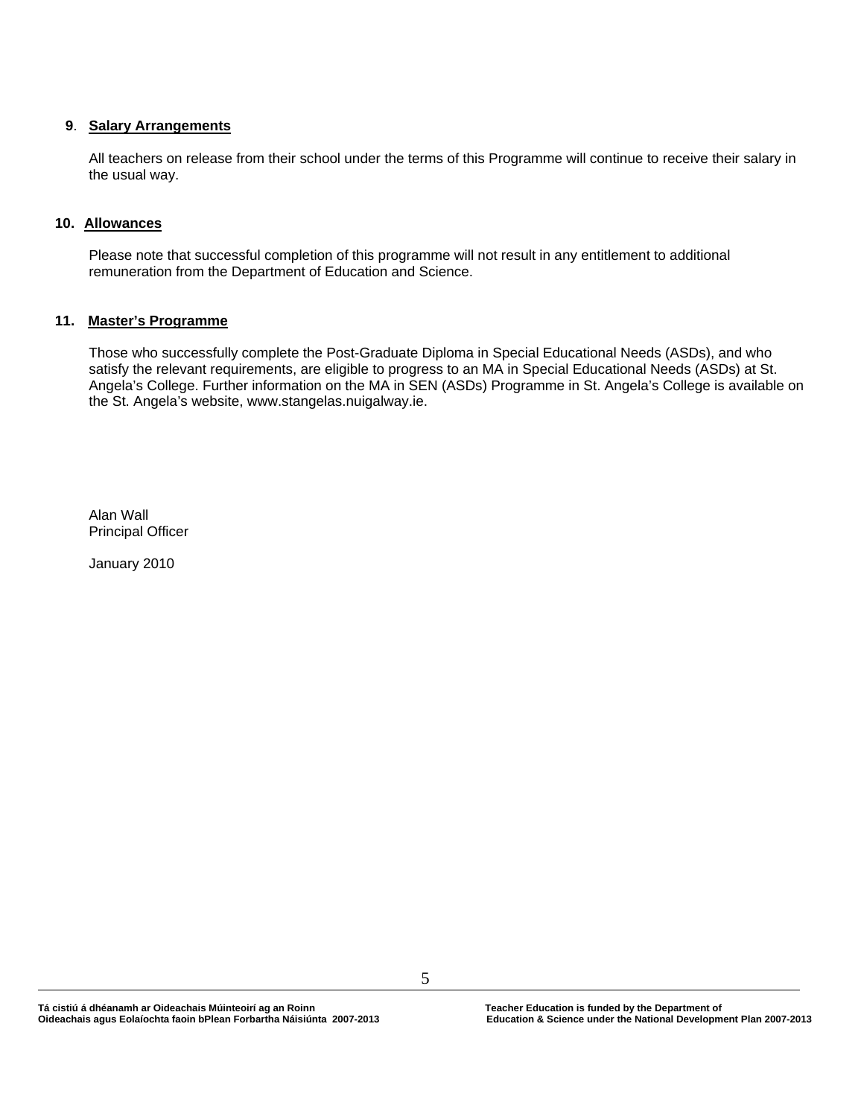#### **9**. **Salary Arrangements**

All teachers on release from their school under the terms of this Programme will continue to receive their salary in the usual way.

#### **10. Allowances**

Please note that successful completion of this programme will not result in any entitlement to additional remuneration from the Department of Education and Science.

#### **11. Master's Programme**

Those who successfully complete the Post-Graduate Diploma in Special Educational Needs (ASDs), and who satisfy the relevant requirements, are eligible to progress to an MA in Special Educational Needs (ASDs) at St. Angela's College. Further information on the MA in SEN (ASDs) Programme in St. Angela's College is available on the St. Angela's website, www.stangelas.nuigalway.ie.

Alan Wall Principal Officer

January 2010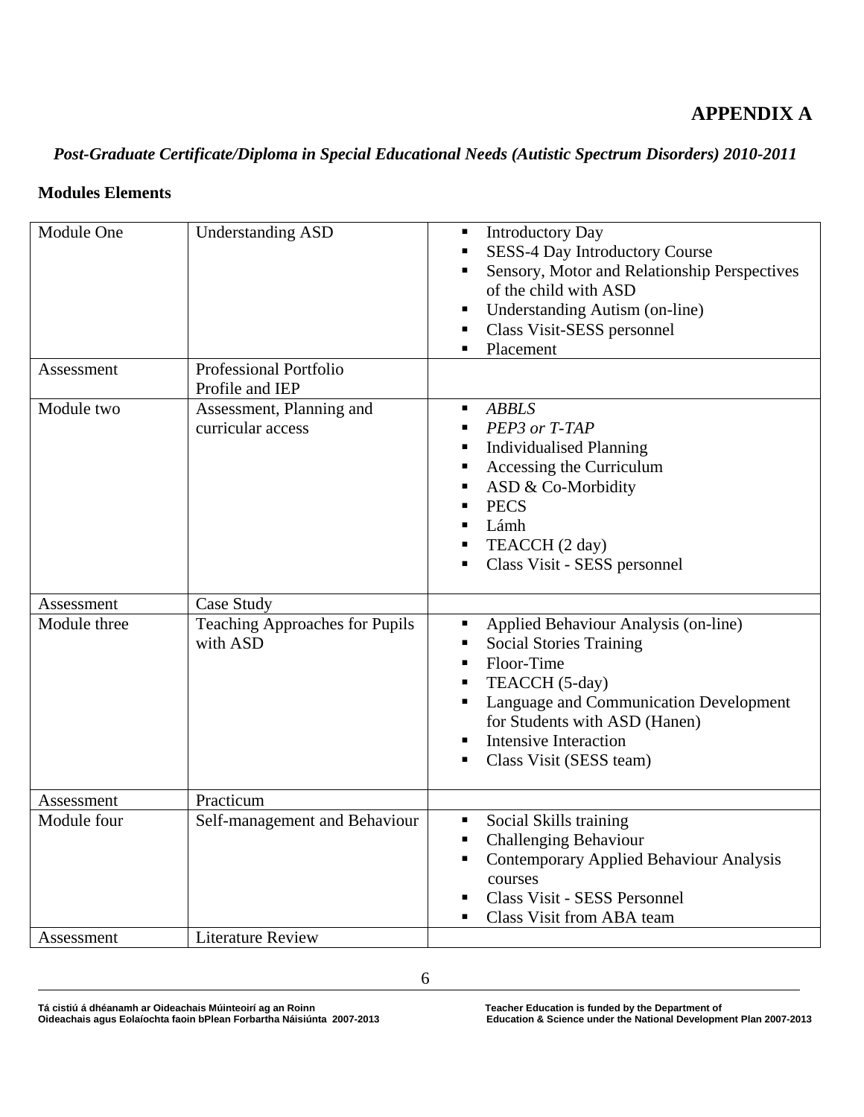### *Post-Graduate Certificate/Diploma in Special Educational Needs (Autistic Spectrum Disorders) 2010-2011*

#### **Modules Elements**

| Module One   | <b>Understanding ASD</b>                         | <b>Introductory Day</b><br>п<br><b>SESS-4 Day Introductory Course</b><br>$\blacksquare$<br>Sensory, Motor and Relationship Perspectives<br>٠<br>of the child with ASD<br>Understanding Autism (on-line)<br>٠<br>Class Visit-SESS personnel<br>п<br>Placement<br>٠                                         |
|--------------|--------------------------------------------------|-----------------------------------------------------------------------------------------------------------------------------------------------------------------------------------------------------------------------------------------------------------------------------------------------------------|
| Assessment   | <b>Professional Portfolio</b><br>Profile and IEP |                                                                                                                                                                                                                                                                                                           |
| Module two   | Assessment, Planning and<br>curricular access    | <b>ABBLS</b><br>٠<br>PEP3 or T-TAP<br>٠<br><b>Individualised Planning</b><br>п<br>Accessing the Curriculum<br>п<br>ASD & Co-Morbidity<br>п<br><b>PECS</b><br>$\blacksquare$<br>Lámh<br>$\blacksquare$<br>TEACCH (2 day)<br>٠<br>Class Visit - SESS personnel<br>п                                         |
| Assessment   | Case Study                                       |                                                                                                                                                                                                                                                                                                           |
| Module three | Teaching Approaches for Pupils<br>with ASD       | Applied Behaviour Analysis (on-line)<br>$\blacksquare$<br><b>Social Stories Training</b><br>$\blacksquare$<br>Floor-Time<br>٠<br>TEACCH (5-day)<br>п<br>Language and Communication Development<br>п<br>for Students with ASD (Hanen)<br><b>Intensive Interaction</b><br>٠<br>Class Visit (SESS team)<br>п |
| Assessment   | Practicum                                        |                                                                                                                                                                                                                                                                                                           |
| Module four  | Self-management and Behaviour                    | Social Skills training<br>п<br><b>Challenging Behaviour</b><br>٠<br>Contemporary Applied Behaviour Analysis<br>п<br>courses<br>Class Visit - SESS Personnel<br>Class Visit from ABA team                                                                                                                  |
| Assessment   | <b>Literature Review</b>                         |                                                                                                                                                                                                                                                                                                           |

6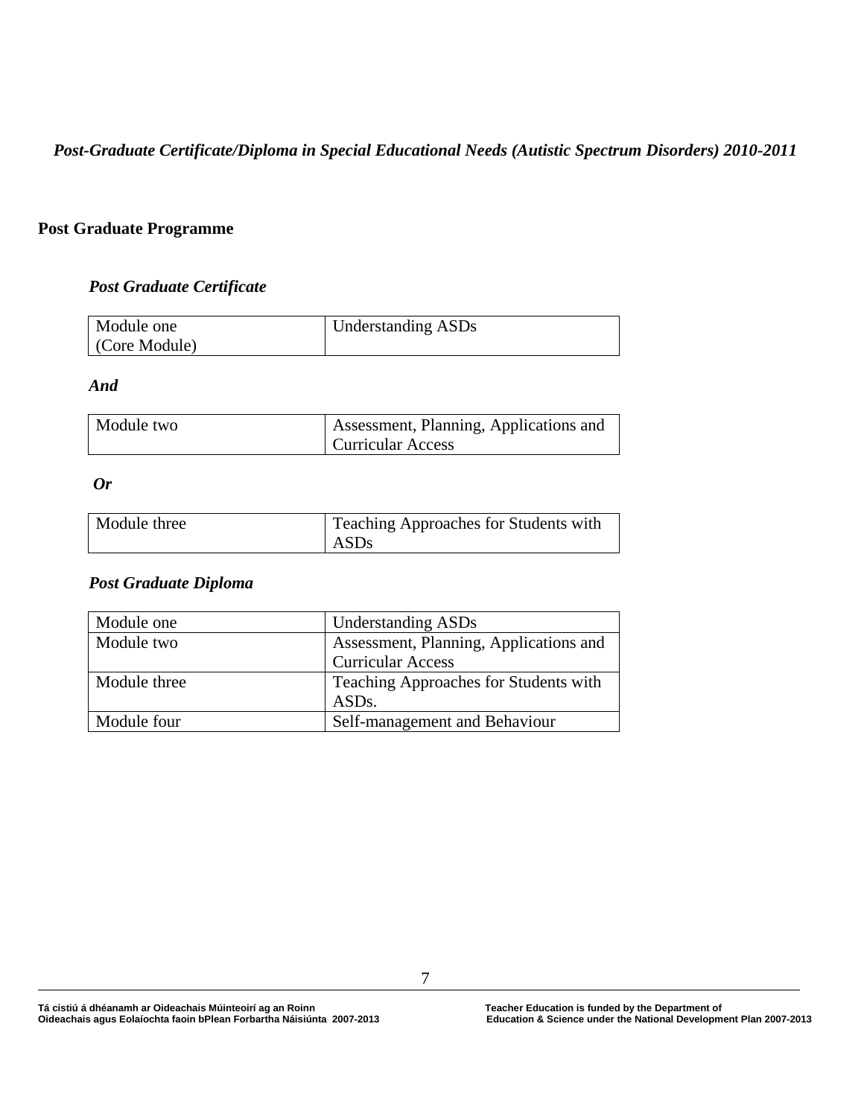*Post-Graduate Certificate/Diploma in Special Educational Needs (Autistic Spectrum Disorders) 2010-2011*

#### **Post Graduate Programme**

#### *Post Graduate Certificate*

| Module one    | <b>Understanding ASDs</b> |
|---------------|---------------------------|
| (Core Module) |                           |

*And*

| Module two | Assessment, Planning, Applications and |  |  |
|------------|----------------------------------------|--|--|
|            | <b>Curricular Access</b>               |  |  |

*Or*

| Module three | <b>Teaching Approaches for Students with</b> |  |  |
|--------------|----------------------------------------------|--|--|
|              | ASD <sub>s</sub>                             |  |  |

#### *Post Graduate Diploma*

| Module one   | <b>Understanding ASDs</b>              |  |
|--------------|----------------------------------------|--|
| Module two   | Assessment, Planning, Applications and |  |
|              | <b>Curricular Access</b>               |  |
| Module three | Teaching Approaches for Students with  |  |
|              | ASD <sub>s</sub> .                     |  |
| Module four  | Self-management and Behaviour          |  |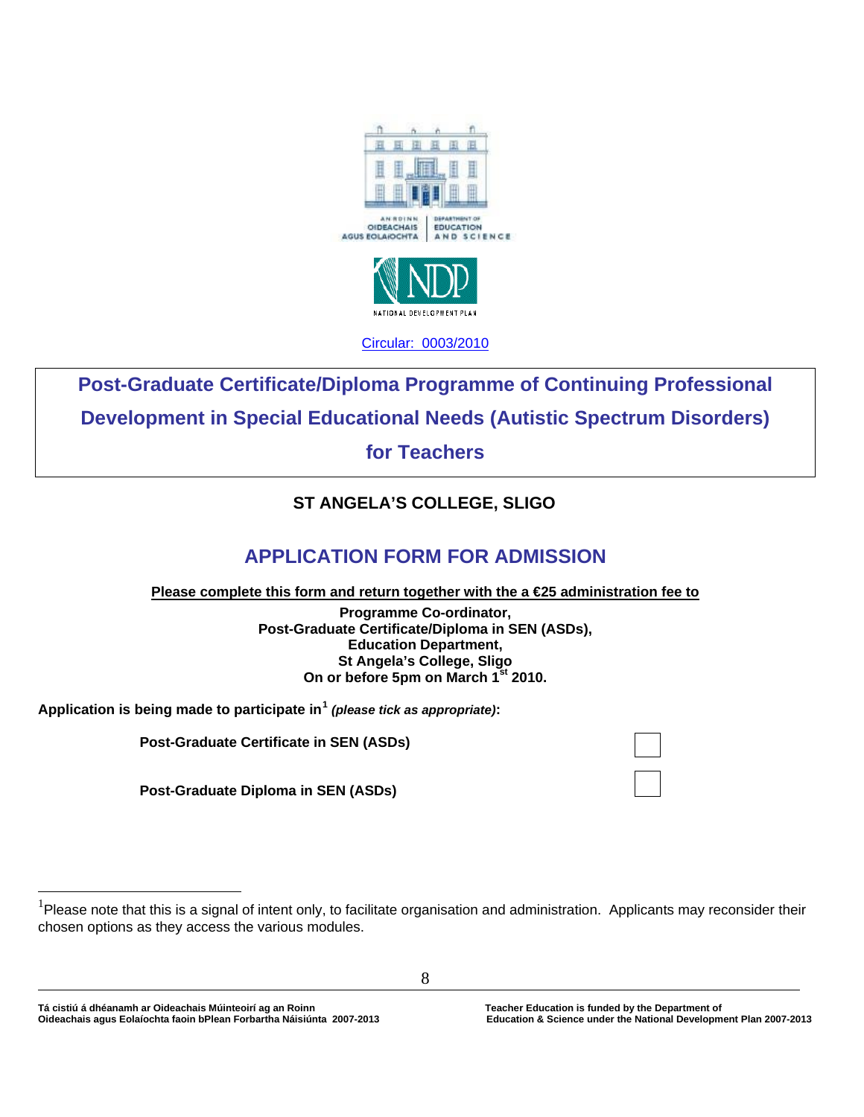



**Post-Graduate Certificate/Diploma Programme of Continuing Professional Development in Special Educational Needs (Autistic Spectrum Disorders)** 

**for Teachers**

## **ST ANGELA'S COLLEGE, SLIGO**

## **APPLICATION FORM FOR ADMISSION**

**Please complete this form and return together with the a €25 administration fee to**

**Programme Co-ordinator, Post-Graduate Certificate/Diploma in SEN (ASDs), Education Department, St Angela's College, Sligo On or before 5pm on March 1st 2010.** 

**Application is being made to participate in[1](#page-7-0)** *(please tick as appropriate)***:**

**Post-Graduate Certificate in SEN (ASDs)**

**Post-Graduate Diploma in SEN (ASDs)**

8

Tá cistiú á dhéanamh ar Oideachais Múinteoirí ag an Roinn<br>Cideachais agus Eolaíochta faoin bPlean Forbartha Náisiúnta 2007-2013 **Feacher Education & Science under the National Development Plan 2007-2013 Oideachais agus Eolaíochta faoin bPlean Forbartha Náisiúnta 2007-2013** 

<span id="page-7-0"></span> <sup>1</sup> Please note that this is a signal of intent only, to facilitate organisation and administration. Applicants may reconsider their chosen options as they access the various modules.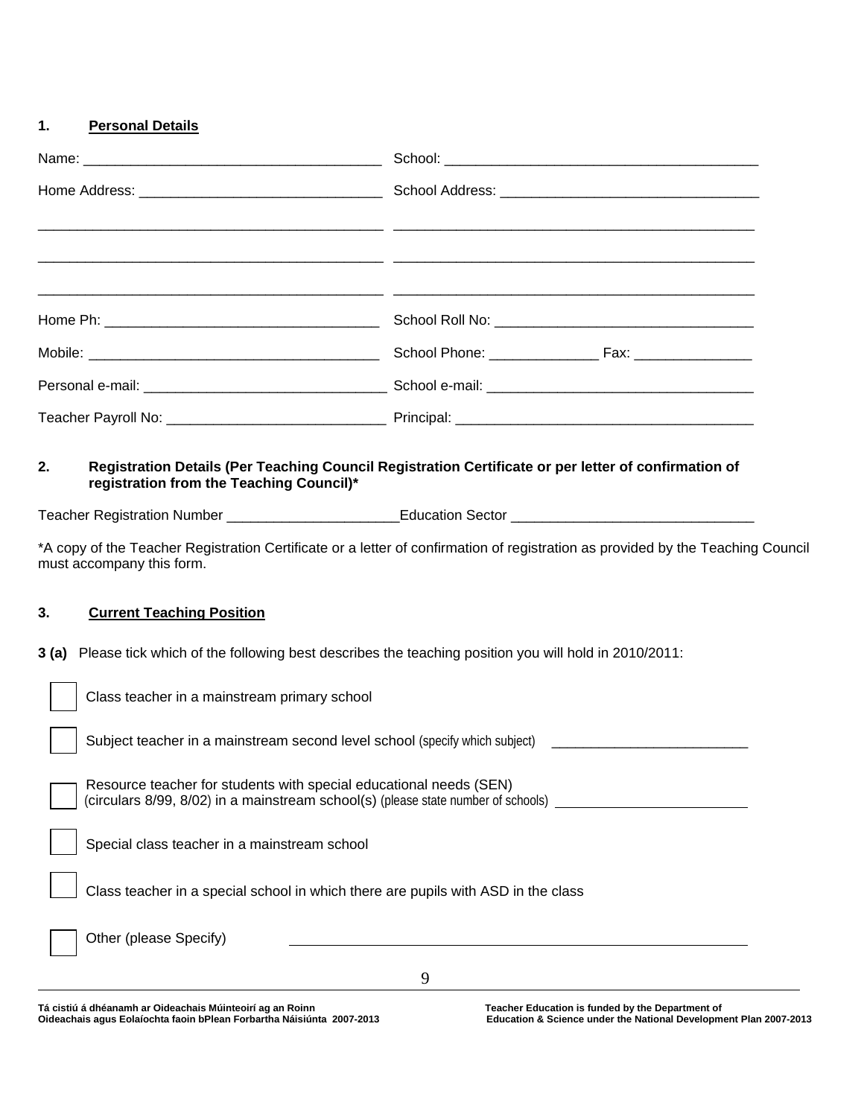**1. Personal Details**

| 2.    | registration from the Teaching Council)*                                                                                                                | Registration Details (Per Teaching Council Registration Certificate or per letter of confirmation of                            |  |  |  |
|-------|---------------------------------------------------------------------------------------------------------------------------------------------------------|---------------------------------------------------------------------------------------------------------------------------------|--|--|--|
|       |                                                                                                                                                         | Teacher Registration Number ________________________Education Sector _______________________________                            |  |  |  |
|       | must accompany this form.                                                                                                                               | *A copy of the Teacher Registration Certificate or a letter of confirmation of registration as provided by the Teaching Council |  |  |  |
| 3.    | <b>Current Teaching Position</b>                                                                                                                        |                                                                                                                                 |  |  |  |
| 3 (a) | Please tick which of the following best describes the teaching position you will hold in 2010/2011:                                                     |                                                                                                                                 |  |  |  |
|       | Class teacher in a mainstream primary school                                                                                                            |                                                                                                                                 |  |  |  |
|       | Subject teacher in a mainstream second level school (specify which subject) _______________________                                                     |                                                                                                                                 |  |  |  |
|       | Resource teacher for students with special educational needs (SEN)<br>(circulars 8/99, 8/02) in a mainstream school(s) (please state number of schools) |                                                                                                                                 |  |  |  |
|       | Special class teacher in a mainstream school                                                                                                            |                                                                                                                                 |  |  |  |
|       | Class teacher in a special school in which there are pupils with ASD in the class                                                                       |                                                                                                                                 |  |  |  |
|       | Other (please Specify)                                                                                                                                  |                                                                                                                                 |  |  |  |
|       |                                                                                                                                                         | 9                                                                                                                               |  |  |  |
|       |                                                                                                                                                         |                                                                                                                                 |  |  |  |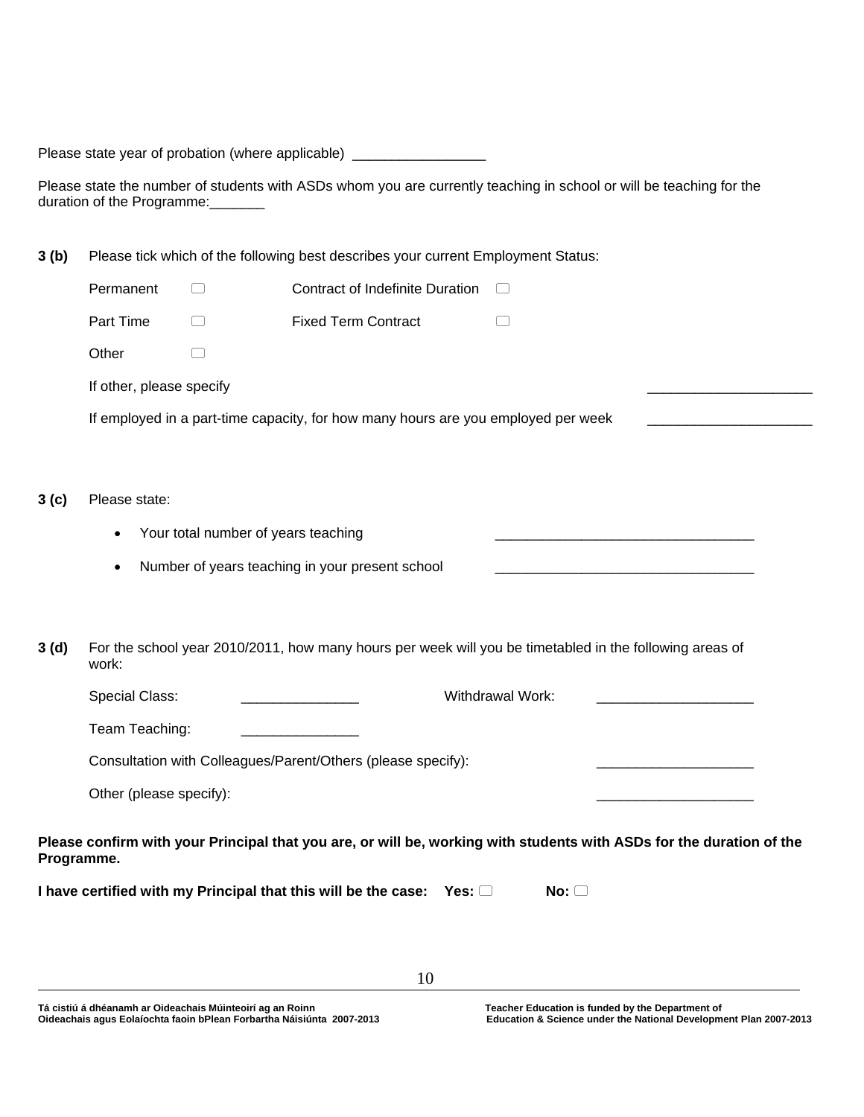Please state year of probation (where applicable) \_\_\_\_\_\_\_\_\_\_\_\_\_\_\_\_\_\_\_

Please state the number of students with ASDs whom you are currently teaching in school or will be teaching for the duration of the Programme:

**3 (b)** Please tick which of the following best describes your current Employment Status:

|                  | Permanent                |                                     | <b>Contract of Indefinite Duration</b>                                                                               |                  |  |
|------------------|--------------------------|-------------------------------------|----------------------------------------------------------------------------------------------------------------------|------------------|--|
|                  | Part Time                |                                     | <b>Fixed Term Contract</b>                                                                                           |                  |  |
|                  | Other                    | □                                   |                                                                                                                      |                  |  |
|                  | If other, please specify |                                     |                                                                                                                      |                  |  |
|                  |                          |                                     | If employed in a part-time capacity, for how many hours are you employed per week                                    |                  |  |
|                  |                          |                                     |                                                                                                                      |                  |  |
| 3 <sub>(c)</sub> | Please state:            |                                     |                                                                                                                      |                  |  |
|                  |                          | Your total number of years teaching |                                                                                                                      |                  |  |
|                  | $\bullet$                |                                     | Number of years teaching in your present school                                                                      |                  |  |
|                  |                          |                                     |                                                                                                                      |                  |  |
| 3(d)             | work:                    |                                     | For the school year 2010/2011, how many hours per week will you be timetabled in the following areas of              |                  |  |
|                  | Special Class:           |                                     | <u> 1980 - Johann Barbara, martin a</u>                                                                              | Withdrawal Work: |  |
|                  | Team Teaching:           |                                     |                                                                                                                      |                  |  |
|                  |                          |                                     | Consultation with Colleagues/Parent/Others (please specify):                                                         |                  |  |
|                  | Other (please specify):  |                                     |                                                                                                                      |                  |  |
| Programme.       |                          |                                     | Please confirm with your Principal that you are, or will be, working with students with ASDs for the duration of the |                  |  |
|                  |                          |                                     | I have certified with my Principal that this will be the case: Yes: $\Box$                                           | No:              |  |

10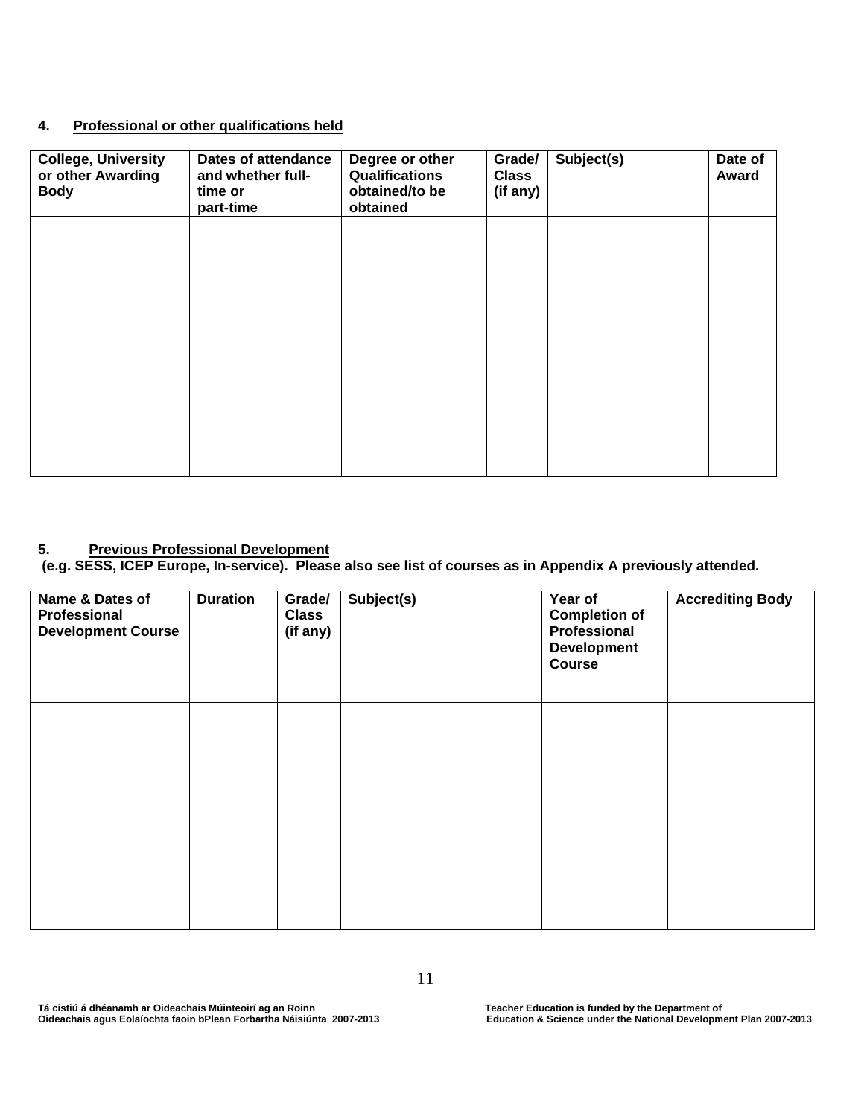#### **4. Professional or other qualifications held**

| <b>College, University</b><br>or other Awarding<br><b>Body</b> | <b>Dates of attendance</b><br>and whether full-<br>time or<br>part-time | Degree or other<br>Qualifications<br>obtained/to be<br>obtained | Grade/<br><b>Class</b><br>(if any) | Subject(s) | Date of<br>Award |
|----------------------------------------------------------------|-------------------------------------------------------------------------|-----------------------------------------------------------------|------------------------------------|------------|------------------|
|                                                                |                                                                         |                                                                 |                                    |            |                  |
|                                                                |                                                                         |                                                                 |                                    |            |                  |
|                                                                |                                                                         |                                                                 |                                    |            |                  |
|                                                                |                                                                         |                                                                 |                                    |            |                  |

#### **5. Previous Professional Development**

**(e.g. SESS, ICEP Europe, In-service). Please also see list of courses as in Appendix A previously attended.** 

| Name & Dates of<br>Professional<br><b>Development Course</b> | <b>Duration</b> | Grade/<br><b>Class</b><br>(if any) | Subject(s) | Year of<br><b>Completion of</b><br>Professional<br><b>Development</b><br><b>Course</b> | <b>Accrediting Body</b> |
|--------------------------------------------------------------|-----------------|------------------------------------|------------|----------------------------------------------------------------------------------------|-------------------------|
|                                                              |                 |                                    |            |                                                                                        |                         |
|                                                              |                 |                                    |            |                                                                                        |                         |